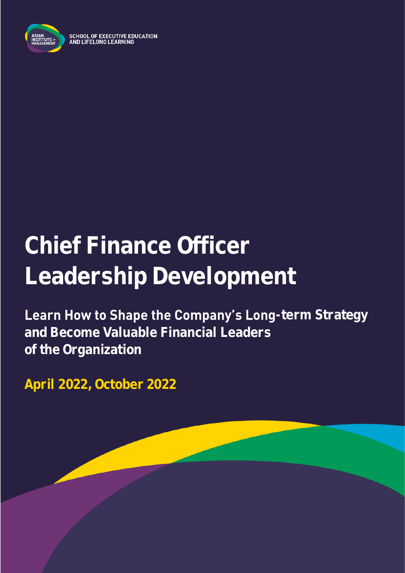

**SCHOOL OF EXECUTIVE EDUCATION** AND LIFELONG LEARNING

# **Chief Finance Officer Leadership Development**

Learn How to Shape the Company's Long-term Strategy **and Become Valuable Financial Leaders of the Organization**

**April 2022, October 2022**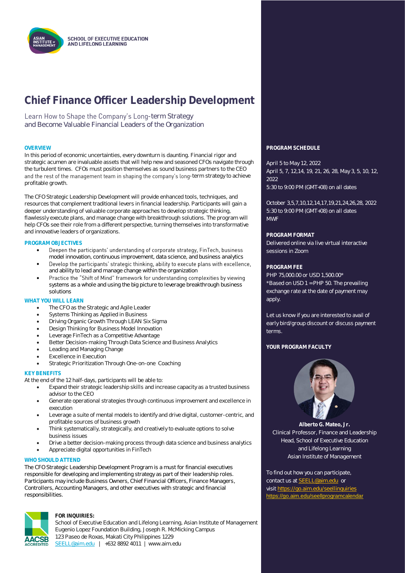

### **Chief Finance Officer Leadership Development**

Learn How to Shape the Company's Long-term Strategy and Become Valuable Financial Leaders of the Organization

In this period of economic uncertainties, every downturn is daunting. Financial rigor and strategic acumen are invaluable assets that will help new and seasoned CFOs navigate through the turbulent times. CFOs must position themselves as sound business partners to the CEO and the rest of the management team in shaping the company's long-term strategy to achieve profitable growth.

The CFO Strategic Leadership Development will provide enhanced tools, techniques, and resources that complement traditional levers in financial leadership. Participants will gain a deeper understanding of valuable corporate approaches to develop strategic thinking, flawlessly execute plans, and manage change with breakthrough solutions. The program will help CFOs see their role from a different perspective, turning themselves into transformative and innovative leaders of organizations.

#### **PROGRAM OBJECTIVES**

- Deepen the participants' understanding of corporate strategy, FinTech, business • model innovation, continuous improvement, data science, and business analytics
- Develop the participants' strategic thinking, ability to execute plans with excellence, • and ability to lead and manage change within the organization
- Practice the "Shift of Mind" framework for understanding complexities by viewing • systems as a whole and using the big picture to leverage breakthrough business solutions

#### **WHAT YOU WILL LEARN**

- The CFO as the Strategic and Agile Leader
- Systems Thinking as Applied in Business
- Driving Organic Growth Through LEAN Six Sigma
- Design Thinking for Business Model Innovation
- Leverage FinTech as a Competitive Advantage
- Better Decision-making Through Data Science and Business Analytics
- Leading and Managing Change
- **Excellence in Execution**
- Strategic Prioritization Through One-on-one Coaching

#### **KEY BENEFITS**

At the end of the 12 half-days, participants will be able to:

- Expand their strategic leadership skills and increase capacity as a trusted business advisor to the CEO
- Generate operational strategies through continuous improvement and excellence in execution
- Leverage a suite of mental models to identify and drive digital, customer-centric, and profitable sources of business growth
- Think systematically, strategically, and creatively to evaluate options to solve business issues
- Drive a better decision-making process through data science and business analytics
- Appreciate digital opportunities in FinTech

#### **WHO SHOULD ATTEND**

The CFO Strategic Leadership Development Program is a must for financial executives responsible for developing and implementing strategy as part of their leadership roles. Participants may include Business Owners, Chief Financial Officers, Finance Managers, Controllers, Accounting Managers, and other executives with strategic and financial responsibilities.



#### **FOR INQUIRIES:**

School of Executive Education and Lifelong Learning, Asian Institute of Management Eugenio Lopez Foundation Building, Joseph R. McMicking Campus 123 Paseo de Roxas, Makati City Philippines 1229 [SEELL@aim.edu](mailto:SEELL@aim.edu) | +632 8892 4011 | www.aim.edu



April 5 to May 12, 2022 April 5, 7, 12,14, 19, 21, 26, 28, May 3, 5, 10, 12,  $2022$ 

5:30 to 9:00 PM (GMT+08) on all dates

October 3,5,7,10,12,14,17,19,21,24,26,28, 2022 5:30 to 9:00 PM (GMT+08) on all dates MWF

**PROGRAM FORMAT**

Delivered online via live virtual interactive sessions in Zoom

#### **PROGRAM FEE**

PHP 75,000.00 or USD 1,500.00\* \*Based on USD 1 = PHP 50. The prevailing exchange rate at the date of payment may apply.

Let us know if you are interested to avail of early bird/group discount or discuss payment terms.

#### **YOUR PROGRAM FACULTY**



**Alberto G. Mateo, Jr.** Clinical Professor, Finance and Leadership Head, School of Executive Education and Lifelong Learning Asian Institute of Management

To find out how you can participate, contact us a[t SEELL@aim.edu](mailto:SEELL@aim.edu) or visit<https://go.aim.edu/seellinquiries> <https://go.aim.edu/seellprogramcalendar>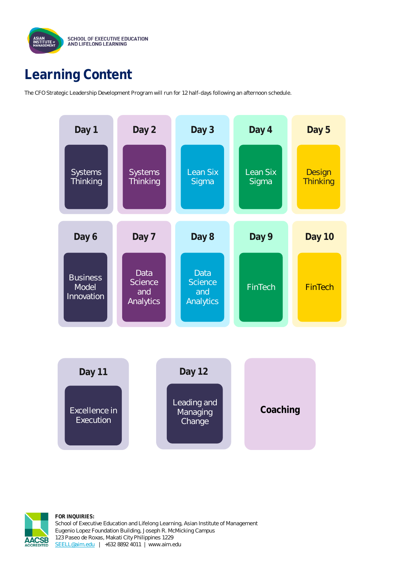

### **Learning Content**

The CFO Strategic Leadership Development Program will run for 12 half-days following an afternoon schedule.





**FOR INQUIRIES:** School of Executive Education and Lifelong Learning, Asian Institute of Management Eugenio Lopez Foundation Building, Joseph R. McMicking Campus 123 Paseo de Roxas, Makati City Philippines 1229 [SEELL@aim.edu](mailto:SEELL@aim.edu) | +632 8892 4011 | www.aim.edu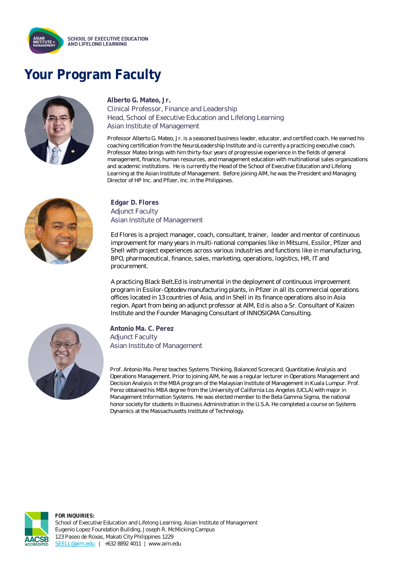

## **Your Program Faculty**



### **Alberto G. Mateo, Jr.**

Clinical Professor, Finance and Leadership Head, School of Executive Education and Lifelong Learning Asian Institute of Management

Professor Alberto G. Mateo, Jr. is a seasoned business leader, educator, and certified coach. He earned his coaching certification from the NeuroLeadership Institute and is currently a practicing executive coach. Professor Mateo brings with him thirty-four years of progressive experience in the fields of general management, finance, human resources, and management education with multinational sales organizations and academic institutions. He is currently the Head of the School of Executive Education and Lifelong Learning at the Asian Institute of Management. Before joining AIM, he was the President and Managing Director of HP Inc. and Pfizer, Inc. in the Philippines.



#### **Edgar D. Flores** Adjunct Faculty Asian Institute of Management

Ed Flores is a project manager, coach, consultant, trainer, leader and mentor of continuous improvement for many years in multi-national companies like in Mitsumi, Essilor, Pfizer and Shell with project experiences across various industries and functions like in manufacturing, BPO, pharmaceutical, finance, sales, marketing, operations, logistics, HR, IT and procurement.

A practicing Black Belt,Ed is instrumental in the deployment of continuous improvement program in Essilor-Optodev manufacturing plants, in Pfizer in all its commercial operations offices located in 13 countries of Asia, and in Shell in its finance operations also in Asia region. Apart from being an adjunct professor at AIM, Ed is also a Sr. Consultant of Kaizen Institute and the Founder Managing Consultant of INNOSIGMA Consulting.



**Antonio Ma. C. Perez** Adjunct Faculty Asian Institute of Management

Prof. Antonio Ma. Perez teaches Systems Thinking, Balanced Scorecard, Quantitative Analysis and Operations Management. Prior to joining AIM, he was a regular lecturer in Operations Management and Decision Analysis in the MBA program of the Malaysian Institute of Management in Kuala Lumpur. Prof. Perez obtained his MBA degree from the University of California Los Angeles (UCLA) with major in Management Information Systems. He was elected member to the Beta Gamma Sigma, the national honor society for students in Business Administration in the U.S.A. He completed a course on Systems Dynamics at the Massachusetts Institute of Technology.



**FOR INQUIRIES:** School of Executive Education and Lifelong Learning, Asian Institute of Management Eugenio Lopez Foundation Building, Joseph R. McMicking Campus 123 Paseo de Roxas, Makati City Philippines 1229 [SEELL@aim.edu](mailto:SEELL@aim.edu) | +632 8892 4011 | www.aim.edu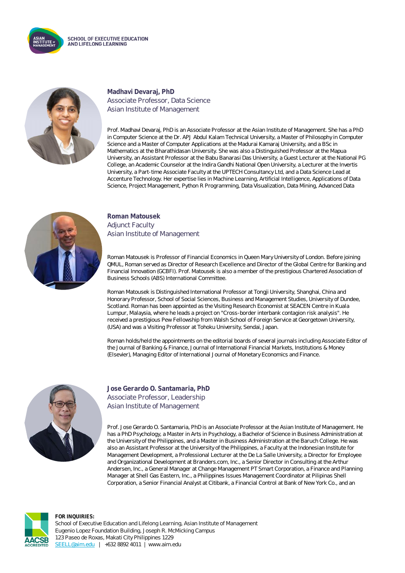



**Madhavi Devaraj, PhD** Associate Professor, Data Science Asian Institute of Management

Prof. Madhavi Devaraj, PhD is an Associate Professor at the Asian Institute of Management. She has a PhD in Computer Science at the Dr. APJ Abdul Kalam Technical University, a Master of Philosophy in Computer Science and a Master of Computer Applications at the Madurai Kamaraj University, and a BSc in Mathematics at the Bharathidasan University. She was also a Distinguished Professor at the Mapua University, an Assistant Professor at the Babu Banarasi Das University, a Guest Lecturer at the National PG College, an Academic Counselor at the Indira Gandhi National Open University, a Lecturer at the Invertis University, a Part-time Associate Faculty at the UPTECH Consultancy Ltd, and a Data Science Lead at Accenture Technology. Her expertise lies in Machine Learning, Artificial Intelligence, Applications of Data Science, Project Management, Python R Programming, Data Visualization, Data Mining, Advanced Data



**Roman Matousek** Adjunct Faculty Asian Institute of Management

Roman Matousek is Professor of Financial Economics in Queen Mary University of London. Before joining QMUL, Roman served as Director of Research Excellence and Director of the Global Centre for Banking and Financial Innovation (GCBFI). Prof. Matousek is also a member of the prestigious Chartered Association of Business Schools (ABS) International Committee.

Roman Matousek is Distinguished International Professor at Tongji University, Shanghai, China and Honorary Professor, School of Social Sciences, Business and Management Studies, University of Dundee, Scotland. Roman has been appointed as the Visiting Research Economist at SEACEN Centre in Kuala Lumpur, Malaysia, where he leads a project on "Cross-border interbank contagion risk analysis". He received a prestigious Pew Fellowship from Walsh School of Foreign Service at Georgetown University, (USA) and was a Visiting Professor at Tohoku University, Sendai, Japan.

Roman holds/held the appointments on the editorial boards of several journals including Associate Editor of the Journal of Banking & Finance, Journal of International Financial Markets, Institutions & Money (Elsevier), Managing Editor of International Journal of Monetary Economics and Finance.



**Jose Gerardo O. Santamaria, PhD** Associate Professor, Leadership Asian Institute of Management

Prof. Jose Gerardo O. Santamaria, PhD is an Associate Professor at the Asian Institute of Management. He has a PhD Psychology, a Master in Arts in Psychology, a Bachelor of Science in Business Administration at the University of the Philippines, and a Master in Business Administration at the Baruch College. He was also an Assistant Professor at the University of the Philippines, a Faculty at the Indonesian Institute for Management Development, a Professional Lecturer at the De La Salle University, a Director for Employee and Organizational Development at Branders.com, Inc., a Senior Director in Consulting at the Arthur Andersen, Inc., a General Manager at Change Management PT Smart Corporation, a Finance and Planning Manager at Shell Gas Eastern, Inc., a Philippines Issues Management Coordinator at Pilipinas Shell Corporation, a Senior Financial Analyst at Citibank, a Financial Control at Bank of New York Co., and an



**FOR INQUIRIES:** School of Executive Education and Lifelong Learning, Asian Institute of Management Eugenio Lopez Foundation Building, Joseph R. McMicking Campus 123 Paseo de Roxas, Makati City Philippines 1229 [SEELL@aim.edu](mailto:SEELL@aim.edu) | +632 8892 4011 | www.aim.edu